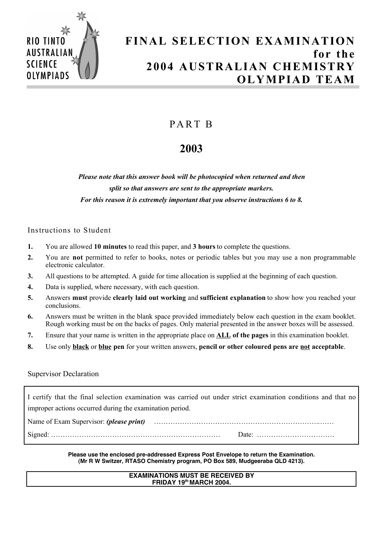

# **FINAL SELECTION EXAMINATION for the 2004 AUSTRALIAN CHEMISTRY OLYMPIAD TEAM**

# PA RT B

# **2003**

*Please note that this answer book will be photocopied when returned and then split so that answers are sent to the appropriate markers. For this reason it is extremely important that you observe instructions 6 to 8.*

# Instructions to Student

- **1.** You are allowed **10 minutes** to read this paper, and **3 hours** to complete the questions.
- **2.** You are **not** permitted to refer to books, notes or periodic tables but you may use a non programmable electronic calculator.
- **3.** All questions to be attempted. A guide for time allocation is supplied at the beginning of each question.
- **4.** Data is supplied, where necessary, with each question.
- **5.** Answers **must** provide **clearly laid out working** and **sufficient explanation** to show how you reached your conclusions.
- **6.** Answers must be written in the blank space provided immediately below each question in the exam booklet. Rough working must be on the backs of pages. Only material presented in the answer boxes will be assessed.
- **7.** Ensure that your name is written in the appropriate place on **ALL of the pages** in this examination booklet.
- **8.** Use only **black** or **blue pen** for your written answers, **pencil or other coloured pens are not acceptable**.

## Supervisor Declaration

I certify that the final selection examination was carried out under strict examination conditions and that no improper actions occurred during the examination period.

Name of Exam Supervisor: *(please print)* ……………………………………………………………..……

Signed: ……………………………………………………………… Date: ……………………………

**Please use the enclosed pre-addressed Express Post Envelope to return the Examination. (Mr R W Switzer, RTASO Chemistry program, PO Box 589, Mudgeeraba QLD 4213).**

## **EXAMINATIONS MUST BE RECEIVED BY FRIDAY 19th MARCH 2004.**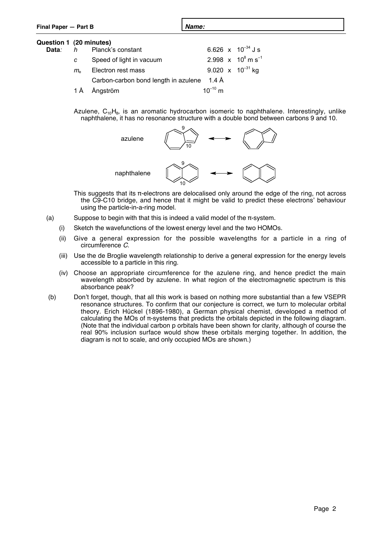| Final Paper - Part B                     |                                 |                                      | Name:        |  |                                             |  |
|------------------------------------------|---------------------------------|--------------------------------------|--------------|--|---------------------------------------------|--|
| Question 1 (20 minutes)<br>Data <i>:</i> |                                 | h Planck's constant                  |              |  | 6.626 $\times$ 10 <sup>-34</sup> J s        |  |
|                                          | C                               | Speed of light in vacuum             |              |  | 2.998 $x$ 10 <sup>8</sup> m s <sup>-1</sup> |  |
|                                          | $m_{\scriptscriptstyle{\circ}}$ | Electron rest mass                   |              |  | 9.020 x $10^{-31}$ kg                       |  |
|                                          |                                 | Carbon-carbon bond length in azulene | 1.4 Å        |  |                                             |  |
|                                          | 1 A                             | Ångström                             | $10^{-10}$ m |  |                                             |  |

Azulene,  $C_{10}H_8$ , is an aromatic hydrocarbon isomeric to naphthalene. Interestingly, unlike naphthalene, it has no resonance structure with a double bond between carbons 9 and 10.



This suggests that its π-electrons are delocalised only around the edge of the ring, not across the C9-C10 bridge, and hence that it might be valid to predict these electrons' behaviour using the particle-in-a-ring model.

- (a) Suppose to begin with that this is indeed a valid model of the  $\pi$ -system.
	- (i) Sketch the wavefunctions of the lowest energy level and the two HOMOs.
	- (ii) Give a general expression for the possible wavelengths for a particle in a ring of circumference C.
	- (iii) Use the de Broglie wavelength relationship to derive a general expression for the energy levels accessible to a particle in this ring.
	- (iv) Choose an appropriate circumference for the azulene ring, and hence predict the main wavelength absorbed by azulene. In what region of the electromagnetic spectrum is this absorbance peak?
- (b) Don't forget, though, that all this work is based on nothing more substantial than a few VSEPR resonance structures. To confirm that our conjecture is correct, we turn to molecular orbital theory. Erich Hückel (1896-1980), a German physical chemist, developed a method of calculating the MOs of π-systems that predicts the orbitals depicted in the following diagram. (Note that the individual carbon p orbitals have been shown for clarity, although of course the real 90% inclusion surface would show these orbitals merging together. In addition, the diagram is not to scale, and only occupied MOs are shown.)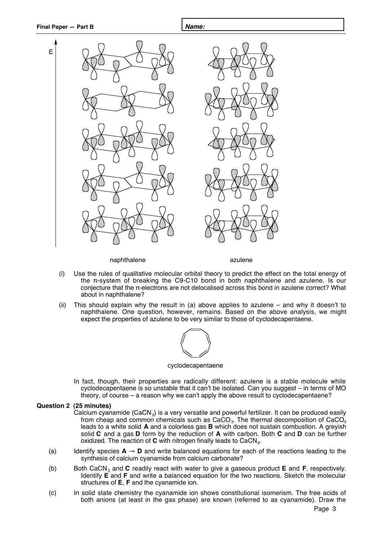

naphthalene azulene

- (i) Use the rules of qualitative molecular orbital theory to predict the effect on the total energy of the π-system of breaking the C9-C10 bond in both naphthalene and azulene. Is our conjecture that the π-electrons are not delocalised across this bond in azulene correct? What about in naphthalene?
- (ii) This should explain why the result in (a) above applies to azulene and why it doesn't to naphthalene. One question, however, remains. Based on the above analysis, we might expect the properties of azulene to be very similar to those of cyclodecapentaene.



#### cyclodecapentaene

In fact, though, their properties are radically different: azulene is a stable molecule while cyclodecapentaene is so unstable that it can't be isolated. Can you suggest – in terms of MO theory, of course – a reason why we can't apply the above result to cyclodecapentaene?

### **Question 2 (25 minutes)**

- Calcium cyanamide (CaCN $_2$ ) is a very versatile and powerful fertilizer. It can be produced easily from cheap and common chemicals such as  $CaCO<sub>3</sub>$ . The thermal decomposition of  $CaCO<sub>3</sub>$ leads to a white solid **A** and a colorless gas **B** which does not sustain combustion. A greyish solid **C** and a gas **D** form by the reduction of **A** with carbon. Both **C** and **D** can be further oxidized. The reaction of **C** with nitrogen finally leads to CaCN<sub>2</sub>.
- (a) Identify species  $A \rightarrow D$  and write balanced equations for each of the reactions leading to the synthesis of calcium cyanamide from calcium carbonate?
- (b) Both CaCN2 and **C** readily react with water to give a gaseous product **E** and **F**, respectively. Identify **E** and **F** and write a balanced equation for the two reactions. Sketch the molecular structures of **E**, **F** and the cyanamide ion.
- (c) In solid state chemistry the cyanamide ion shows constitutional isomerism. The free acids of both anions (at least in the gas phase) are known (referred to as cyanamide). Draw the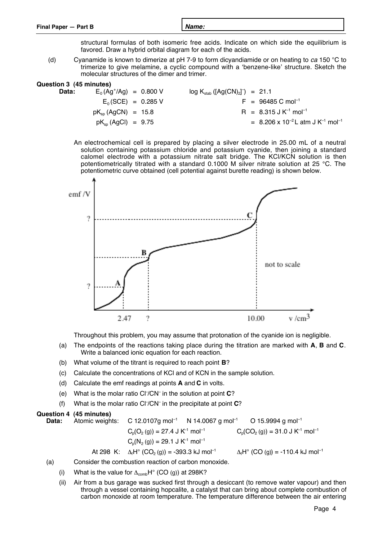structural formulas of both isomeric free acids. Indicate on which side the equilibrium is favored. Draw a hybrid orbital diagram for each of the acids.

(d) Cyanamide is known to dimerize at pH 7-9 to form dicyandiamide or on heating to ca 150 °C to trimerize to give melamine, a cyclic compound with a 'benzene-like' structure. Sketch the molecular structures of the dimer and trimer.

| Question 3 (45 minutes) |                          |                                  |
|-------------------------|--------------------------|----------------------------------|
| Data:                   | $E_0(Ag^t/Ag) = 0.800 V$ | $log K_{stab}([Ag(CN)2]) = 21.1$ |
|                         |                          |                                  |

- $E_0$ (SCE) = 0.285 V F = 96485 C mol<sup>-1</sup>  $pK_{\text{so}} (AgCN) = 15.8$  R = 8.315 J K<sup>-1</sup> mol<sup>-1</sup>  $pK_{\rm sn}$  (AgCl) = 9.75  $= 8.206 \times 10^{-2}$  L atm J K<sup>-1</sup> mol<sup>-1</sup>
- An electrochemical cell is prepared by placing a silver electrode in 25.00 mL of a neutral solution containing potassium chloride and potassium cyanide, then joining a standard calomel electrode with a potassium nitrate salt bridge. The KCl/KCN solution is then potentiometrically titrated with a standard 0.1000 M silver nitrate solution at 25 °C. The potentiometric curve obtained (cell potential against burette reading) is shown below.



Throughout this problem, you may assume that protonation of the cyanide ion is negligible.

- (a) The endpoints of the reactions taking place during the titration are marked with **A**, **B** and **C**. Write a balanced ionic equation for each reaction.
- (b) What volume of the titrant is required to reach point **B**?
- (c) Calculate the concentrations of KCl and of KCN in the sample solution.
- (d) Calculate the emf readings at points **A** and **C** in volts.
- (e) What is the molar ratio Cl– /CN– in the solution at point **C**?
- (f) What is the molar ratio Cl– /CN– in the precipitate at point **C**?

**Question 4 (45 minutes) Data:** Atomic weights: C 12.0107g mol<sup>-1</sup> N 14.0067 g mol<sup>-1</sup> O 15.9994 g mol<sup>-1</sup>  $C_p(O_2(g)) = 27.4$  J K<sup>-1</sup> mol<sup>-1</sup>  $C_p(CO_2(g)) = 31.0$  J K<sup>-1</sup> mol<sup>-1</sup>  $C_p(N_2(g)) = 29.1$  J K<sup>-1</sup> mol<sup>-1</sup> At 298 K:  $\Delta_i H^{\circ} (CO_2(g)) = -393.3 \text{ kJ} \text{ mol}^{-1}$  $\Delta_f H^{\circ}$  (CO (g)) = -110.4 kJ mol<sup>-1</sup>

- (a) Consider the combustion reaction of carbon monoxide.
	- (i) What is the value for  $\Delta_{\rm comb}H^{\circ}$  (CO (g)) at 298K?
	- (ii) Air from a bus garage was sucked first through a desiccant (to remove water vapour) and then through a vessel containing hopcalite, a catalyst that can bring about complete combustion of carbon monoxide at room temperature. The temperature difference between the air entering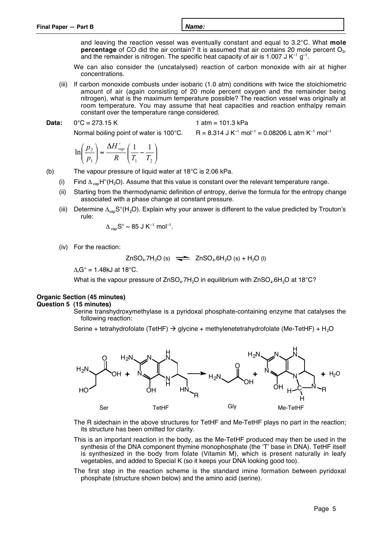| Final Paper - Part B | <b>Name:</b> |
|----------------------|--------------|
|                      |              |

and leaving the reaction vessel was eventually constant and equal to 3.2°C. What **mole** percentage of CO did the air contain? It is assumed that air contains 20 mole percent O<sub>2</sub>, and the remainder is nitrogen. The specific heat capacity of air is 1.007 J  $K^{-1}$  g<sup>-1</sup>.

- We can also consider the (uncatalysed) reaction of carbon monoxide with air at higher concentrations.
- (iii) If carbon monoxide combusts under isobaric (1.0 atm) conditions with twice the stoichiometric amount of air (again consisting of 20 mole percent oxygen and the remainder being nitrogen), what is the maximum temperature possible? The reaction vessel was originally at room temperature. You may assume that heat capacities and reaction enthalpy remain constant over the temperature range considered.

**Data:**  $0^{\circ}$ C = 273.15 K 1 atm = 101.3 kPa

Normal boiling point of water is 100°C.  $R = 8.314$  J K<sup>-1</sup> mol<sup>-1</sup> = 0.08206 L atm K<sup>-1</sup> mol<sup>-1</sup>

$$
\ln\left(\frac{p_2}{p_1}\right) = \frac{\Delta H_{vap}^{\circ}}{R} \left(\frac{1}{T_1} - \frac{1}{T_2}\right)
$$

(b) The vapour pressure of liquid water at 18°C is 2.06 kPa.

- (i) Find  $\Delta_{\text{van}}H^{\circ}(H_2O)$ . Assume that this value is constant over the relevant temperature range.
- (ii) Starting from the thermodynamic definition of entropy, derive the formula for the entropy change associated with a phase change at constant pressure.
- (iii) Determine  $\Delta_{\text{van}}S^{\circ}(H_2O)$ . Explain why your answer is different to the value predicted by Trouton's rule:

$$
\Delta_{\rm vap}S^{\circ} \sim 85 \text{ J K}^{-1} \text{ mol}^{-1}.
$$

(iv) For the reaction:

 $ZnSO<sub>4</sub>.7H<sub>2</sub>O (s)$   $\implies$   $ZnSO<sub>4</sub>.6H<sub>2</sub>O (s) + H<sub>2</sub>O (l)$ 

 $\Delta_r$ G $\degree$  = 1.48kJ at 18 $\degree$ C.

What is the vapour pressure of  $ZnSO_4.7H_2O$  in equilibrium with  $ZnSO_4.6H_2O$  at 18°C?

## **Organic Section (45 minutes)**

### **Question 5 (15 minutes)**

Serine transhydroxymethylase is a pyridoxal phosphate-containing enzyme that catalyses the following reaction:

Serine + tetrahydrofolate (TetHF)  $\rightarrow$  glycine + methylenetetrahydrofolate (Me-TetHF) + H<sub>2</sub>O



The R sidechain in the above structures for TetHF and Me-TetHF plays no part in the reaction; its structure has been omitted for clarity.

- This is an important reaction in the body, as the Me-TetHF produced may then be used in the synthesis of the DNA component thymine monophosphate (the 'T' base in DNA). TetHF itself is synthesized in the body from folate (Vitamin M), which is present naturally in leafy vegetables, and added to Special K (so it keeps your DNA looking good too).
- The first step in the reaction scheme is the standard imine formation between pyridoxal phosphate (structure shown below) and the amino acid (serine).